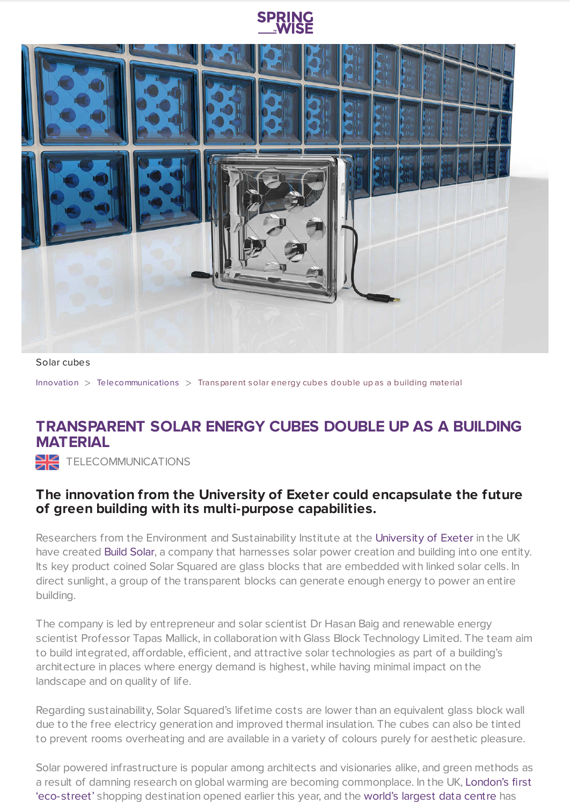



Solar cubes

[Innovation](https://www.springwise.com/search?type=innovation) > [Telecommunications](https://www.springwise.com/search?type=innovation§or=telecoms-tech) > Transparent solar energy cubes double up as a building material

## **TRANSPARENT SOLAR ENERGY CUBES DOUBLE UP AS A BUILDING MATERIAL**

TELECOMMUNICATIONS

## **The innovation from the University of Exeter could encapsulate the future of green building with its multi-purpose capabilities.**

Researchers from the Environment and Sustainability Institute at the [University](http://www.exeter.ac.uk/) of Exeter in the UK have created Build [Solar](https://www.buildsolar.co.uk/), a company that harnesses solar power creation and building into one entity. Its key product coined Solar Squared are glass blocks that are embedded with linked solar cells. In direct sunlight, a group of the transparent blocks can generate enough energy to power an entire building.

The company is led by entrepreneur and solar scientist Dr Hasan Baig and renewable energy scientist Professor Tapas Mallick, in collaboration with Glass Block Technology Limited. The team aim to build integrated, affordable, efficient, and attractive solar technologies as part of a building's architecture in places where energy demand is highest, while having minimal impact on the landscape and on quality of life.

Regarding sustainability, Solar Squared's lifetime costs are lower than an equivalent glass block wall due to the free electricy generation and improved thermal insulation. The cubes can also be tinted to prevent rooms overheating and are available in a variety of colours purely for aesthetic pleasure.

Solar powered infrastructure is popular among architects and visionaries alike, and green methods as a result of damning research on global warming are becoming [commonplace.](https://www.springwise.com/bird-street-offers-sustainable-shopping-experience-uk/) In the UK, London's first 'eco-street' shopping destination opened earlier this year, and the [world's](https://www.springwise.com/worlds-largest-data-center-plans-run-renewable-energy/) largest data centre has